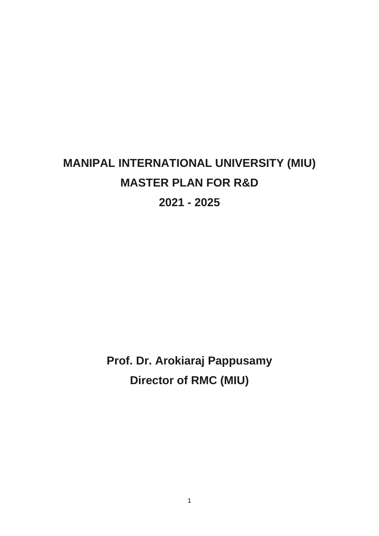# **MANIPAL INTERNATIONAL UNIVERSITY (MIU) MASTER PLAN FOR R&D 2021 - 2025**

**Prof. Dr. Arokiaraj Pappusamy Director of RMC (MIU)**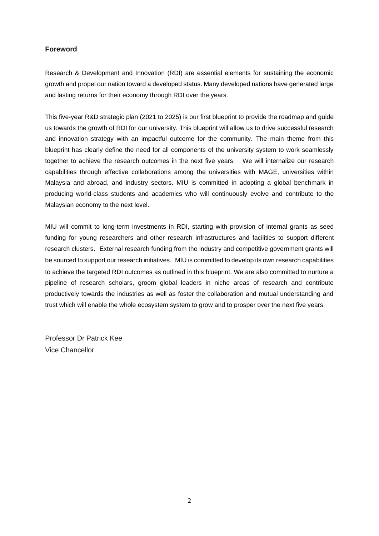# **Foreword**

Research & Development and Innovation (RDI) are essential elements for sustaining the economic growth and propel our nation toward a developed status. Many developed nations have generated large and lasting returns for their economy through RDI over the years.

This five-year R&D strategic plan (2021 to 2025) is our first blueprint to provide the roadmap and guide us towards the growth of RDI for our university. This blueprint will allow us to drive successful research and innovation strategy with an impactful outcome for the community. The main theme from this blueprint has clearly define the need for all components of the university system to work seamlessly together to achieve the research outcomes in the next five years. We will internalize our research capabilities through effective collaborations among the universities with MAGE, universities within Malaysia and abroad, and industry sectors. MIU is committed in adopting a global benchmark in producing world-class students and academics who will continuously evolve and contribute to the Malaysian economy to the next level.

MIU will commit to long-term investments in RDI, starting with provision of internal grants as seed funding for young researchers and other research infrastructures and facilities to support different research clusters. External research funding from the industry and competitive government grants will be sourced to support our research initiatives. MIU is committed to develop its own research capabilities to achieve the targeted RDI outcomes as outlined in this blueprint. We are also committed to nurture a pipeline of research scholars, groom global leaders in niche areas of research and contribute productively towards the industries as well as foster the collaboration and mutual understanding and trust which will enable the whole ecosystem system to grow and to prosper over the next five years.

Professor Dr Patrick Kee Vice Chancellor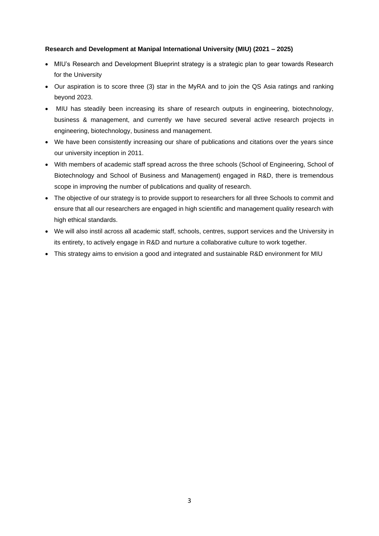## **Research and Development at Manipal International University (MIU) (2021 – 2025)**

- MIU's Research and Development Blueprint strategy is a strategic plan to gear towards Research for the University
- Our aspiration is to score three (3) star in the MyRA and to join the QS Asia ratings and ranking beyond 2023.
- MIU has steadily been increasing its share of research outputs in engineering, biotechnology, business & management, and currently we have secured several active research projects in engineering, biotechnology, business and management.
- We have been consistently increasing our share of publications and citations over the years since our university inception in 2011.
- With members of academic staff spread across the three schools (School of Engineering, School of Biotechnology and School of Business and Management) engaged in R&D, there is tremendous scope in improving the number of publications and quality of research.
- The objective of our strategy is to provide support to researchers for all three Schools to commit and ensure that all our researchers are engaged in high scientific and management quality research with high ethical standards.
- We will also instil across all academic staff, schools, centres, support services and the University in its entirety, to actively engage in R&D and nurture a collaborative culture to work together.
- This strategy aims to envision a good and integrated and sustainable R&D environment for MIU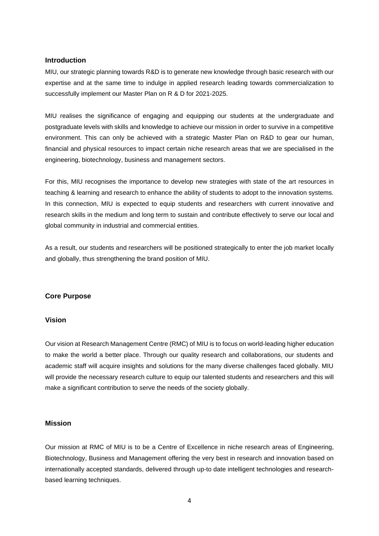## **Introduction**

MIU, our strategic planning towards R&D is to generate new knowledge through basic research with our expertise and at the same time to indulge in applied research leading towards commercialization to successfully implement our Master Plan on R & D for 2021-2025.

MIU realises the significance of engaging and equipping our students at the undergraduate and postgraduate levels with skills and knowledge to achieve our mission in order to survive in a competitive environment. This can only be achieved with a strategic Master Plan on R&D to gear our human, financial and physical resources to impact certain niche research areas that we are specialised in the engineering, biotechnology, business and management sectors.

For this, MIU recognises the importance to develop new strategies with state of the art resources in teaching & learning and research to enhance the ability of students to adopt to the innovation systems. In this connection, MIU is expected to equip students and researchers with current innovative and research skills in the medium and long term to sustain and contribute effectively to serve our local and global community in industrial and commercial entities.

As a result, our students and researchers will be positioned strategically to enter the job market locally and globally, thus strengthening the brand position of MIU.

## **Core Purpose**

## **Vision**

Our vision at Research Management Centre (RMC) of MIU is to focus on world-leading higher education to make the world a better place. Through our quality research and collaborations, our students and academic staff will acquire insights and solutions for the many diverse challenges faced globally. MIU will provide the necessary research culture to equip our talented students and researchers and this will make a significant contribution to serve the needs of the society globally.

## **Mission**

Our mission at RMC of MIU is to be a Centre of Excellence in niche research areas of Engineering, Biotechnology, Business and Management offering the very best in research and innovation based on internationally accepted standards, delivered through up-to date intelligent technologies and researchbased learning techniques.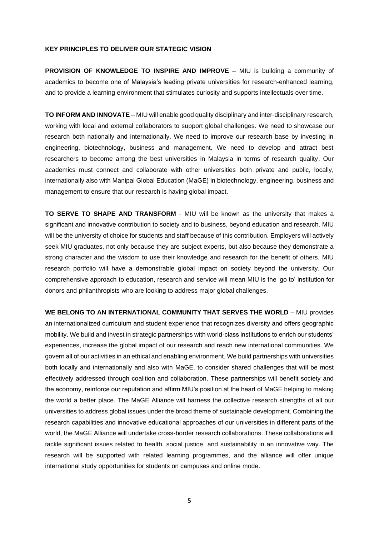#### **KEY PRINCIPLES TO DELIVER OUR STATEGIC VISION**

**PROVISION OF KNOWLEDGE TO INSPIRE AND IMPROVE** – MIU is building a community of academics to become one of Malaysia's leading private universities for research-enhanced learning, and to provide a learning environment that stimulates curiosity and supports intellectuals over time.

**TO INFORM AND INNOVATE** – MIU will enable good quality disciplinary and inter-disciplinary research, working with local and external collaborators to support global challenges. We need to showcase our research both nationally and internationally. We need to improve our research base by investing in engineering, biotechnology, business and management. We need to develop and attract best researchers to become among the best universities in Malaysia in terms of research quality. Our academics must connect and collaborate with other universities both private and public, locally, internationally also with Manipal Global Education (MaGE) in biotechnology, engineering, business and management to ensure that our research is having global impact.

**TO SERVE TO SHAPE AND TRANSFORM** - MIU will be known as the university that makes a significant and innovative contribution to society and to business, beyond education and research. MIU will be the university of choice for students and staff because of this contribution. Employers will actively seek MIU graduates, not only because they are subject experts, but also because they demonstrate a strong character and the wisdom to use their knowledge and research for the benefit of others. MIU research portfolio will have a demonstrable global impact on society beyond the university. Our comprehensive approach to education, research and service will mean MIU is the 'go to' institution for donors and philanthropists who are looking to address major global challenges.

**WE BELONG TO AN INTERNATIONAL COMMUNITY THAT SERVES THE WORLD** – MIU provides an internationalized curriculum and student experience that recognizes diversity and offers geographic mobility. We build and invest in strategic partnerships with world-class institutions to enrich our students' experiences, increase the global impact of our research and reach new international communities. We govern all of our activities in an ethical and enabling environment. We build partnerships with universities both locally and internationally and also with MaGE, to consider shared challenges that will be most effectively addressed through coalition and collaboration. These partnerships will benefit society and the economy, reinforce our reputation and affirm MIU's position at the heart of MaGE helping to making the world a better place. The MaGE Alliance will harness the collective research strengths of all our universities to address global issues under the broad theme of sustainable development. Combining the research capabilities and innovative educational approaches of our universities in different parts of the world, the MaGE Alliance will undertake cross-border research collaborations. These collaborations will tackle significant issues related to health, social justice, and sustainability in an innovative way. The research will be supported with related learning programmes, and the alliance will offer unique international study opportunities for students on campuses and online mode.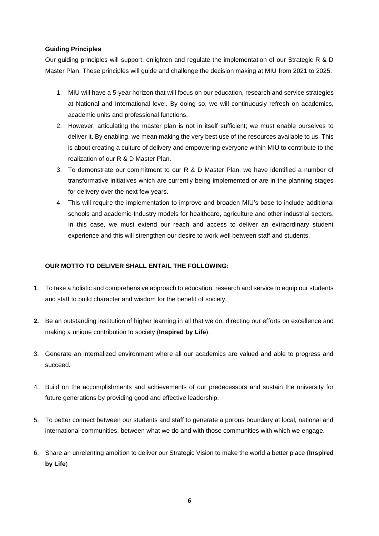## **Guiding Principles**

Our guiding principles will support, enlighten and regulate the implementation of our Strategic R & D Master Plan. These principles will guide and challenge the decision making at MIU from 2021 to 2025.

- 1. MIU will have a 5-year horizon that will focus on our education, research and service strategies at National and International level. By doing so, we will continuously refresh on academics, academic units and professional functions.
- 2. However, articulating the master plan is not in itself sufficient; we must enable ourselves to deliver it. By enabling, we mean making the very best use of the resources available to us. This is about creating a culture of delivery and empowering everyone within MIU to contribute to the realization of our R & D Master Plan.
- 3. To demonstrate our commitment to our R & D Master Plan, we have identified a number of transformative initiatives which are currently being implemented or are in the planning stages for delivery over the next few years.
- 4. This will require the implementation to improve and broaden MIU's base to include additional schools and academic-Industry models for healthcare, agriculture and other industrial sectors. In this case, we must extend our reach and access to deliver an extraordinary student experience and this will strengthen our desire to work well between staff and students.

# **OUR MOTTO TO DELIVER SHALL ENTAIL THE FOLLOWING:**

- 1. To take a holistic and comprehensive approach to education, research and service to equip our students and staff to build character and wisdom for the benefit of society.
- **2.** Be an outstanding institution of higher learning in all that we do, directing our efforts on excellence and making a unique contribution to society (**Inspired by Life**).
- 3. Generate an internalized environment where all our academics are valued and able to progress and succeed.
- 4. Build on the accomplishments and achievements of our predecessors and sustain the university for future generations by providing good and effective leadership.
- 5. To better connect between our students and staff to generate a porous boundary at local, national and international communities, between what we do and with those communities with which we engage.
- 6. Share an unrelenting ambition to deliver our Strategic Vision to make the world a better place (**Inspired by Life**)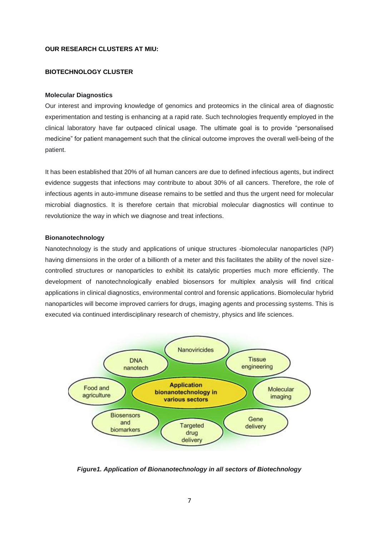## **OUR RESEARCH CLUSTERS AT MIU:**

## **BIOTECHNOLOGY CLUSTER**

#### **Molecular Diagnostics**

Our interest and improving knowledge of genomics and proteomics in the clinical area of diagnostic experimentation and testing is enhancing at a rapid rate. Such technologies frequently employed in the clinical laboratory have far outpaced clinical usage. The ultimate goal is to provide "personalised medicine" for patient management such that the clinical outcome improves the overall well-being of the patient.

It has been established that 20% of all human cancers are due to defined infectious agents, but indirect evidence suggests that infections may contribute to about 30% of all cancers. Therefore, the role of infectious agents in auto-immune disease remains to be settled and thus the urgent need for molecular microbial diagnostics. It is therefore certain that microbial molecular diagnostics will continue to revolutionize the way in which we diagnose and treat infections.

## **Bionanotechnology**

Nanotechnology is the study and applications of unique structures -biomolecular nanoparticles (NP) having dimensions in the order of a billionth of a meter and this facilitates the ability of the novel sizecontrolled structures or nanoparticles to exhibit its catalytic properties much more efficiently. The development of nanotechnologically enabled biosensors for multiplex analysis will find critical applications in clinical diagnostics, environmental control and forensic applications. Biomolecular hybrid nanoparticles will become improved carriers for drugs, imaging agents and processing systems. This is executed via continued interdisciplinary research of chemistry, physics and life sciences.



*Figure1. Application of Bionanotechnology in all sectors of Biotechnology*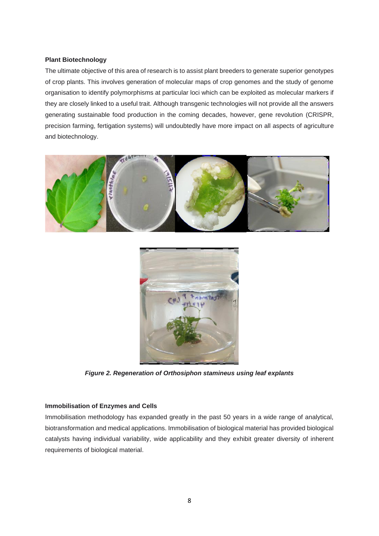## **Plant Biotechnology**

The ultimate objective of this area of research is to assist plant breeders to generate superior genotypes of crop plants. This involves generation of molecular maps of crop genomes and the study of genome organisation to identify polymorphisms at particular loci which can be exploited as molecular markers if they are closely linked to a useful trait. Although transgenic technologies will not provide all the answers generating sustainable food production in the coming decades, however, gene revolution (CRISPR, precision farming, fertigation systems) will undoubtedly have more impact on all aspects of agriculture and biotechnology.





*Figure 2. Regeneration of Orthosiphon stamineus using leaf explants*

## **Immobilisation of Enzymes and Cells**

Immobilisation methodology has expanded greatly in the past 50 years in a wide range of analytical, biotransformation and medical applications. Immobilisation of biological material has provided biological catalysts having individual variability, wide applicability and they exhibit greater diversity of inherent requirements of biological material.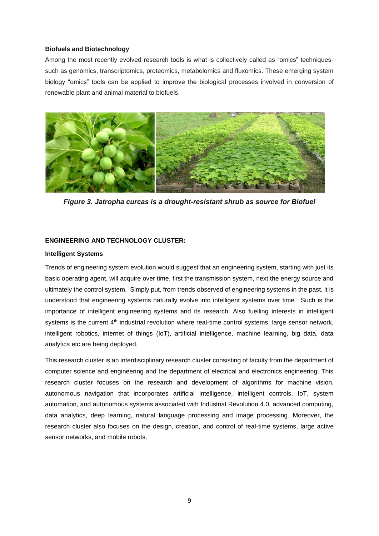#### **Biofuels and Biotechnology**

Among the most recently evolved research tools is what is collectively called as "omics" techniquessuch as genomics, transcriptomics, proteomics, metabolomics and fluxomics. These emerging system biology "omics" tools can be applied to improve the biological processes involved in conversion of renewable plant and animal material to biofuels.



*Figure 3. Jatropha curcas is a drought-resistant shrub as source for Biofuel*

## **ENGINEERING AND TECHNOLOGY CLUSTER:**

#### **Intelligent Systems**

Trends of engineering system evolution would suggest that an engineering system, starting with just its basic operating agent, will acquire over time, first the transmission system, next the energy source and ultimately the control system. Simply put, from trends observed of engineering systems in the past, it is understood that engineering systems naturally evolve into intelligent systems over time. Such is the importance of intelligent engineering systems and its research. Also fuelling interests in intelligent systems is the current  $4<sup>th</sup>$  industrial revolution where real-time control systems, large sensor network, intelligent robotics, internet of things (IoT), artificial intelligence, machine learning, big data, data analytics etc are being deployed.

This research cluster is an interdisciplinary research cluster consisting of faculty from the department of computer science and engineering and the department of electrical and electronics engineering. This research cluster focuses on the research and development of algorithms for machine vision, autonomous navigation that incorporates artificial intelligence, intelligent controls, IoT, system automation, and autonomous systems associated with Industrial Revolution 4.0, advanced computing, data analytics, deep learning, natural language processing and image processing. Moreover, the research cluster also focuses on the design, creation, and control of real-time systems, large active sensor networks, and mobile robots.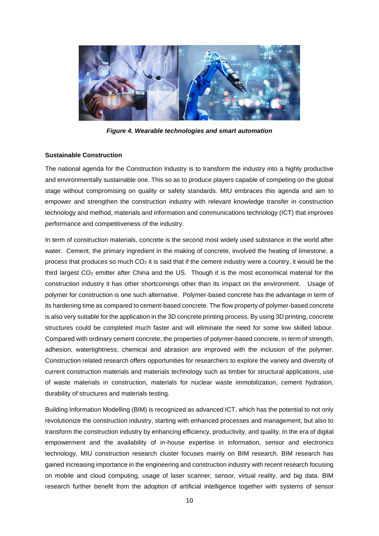

*Figure 4. Wearable technologies and smart automation*

## **Sustainable Construction**

The national agenda for the Construction Industry is to transform the industry into a highly productive and environmentally sustainable one. This so as to produce players capable of competing on the global stage without compromising on quality or safety standards. MIU embraces this agenda and aim to empower and strengthen the construction industry with relevant knowledge transfer in construction technology and method, materials and information and communications technology (ICT) that improves performance and competitiveness of the industry.

In term of construction materials, concrete is the second most widely used substance in the world after water. Cement, the primary ingredient in the making of concrete, involved the heating of limestone, a process that produces so much  $CO<sub>2</sub>$  it is said that if the cement industry were a country, it would be the third largest  $CO<sub>2</sub>$  emitter after China and the US. Though it is the most economical material for the construction industry it has other shortcomings other than its impact on the environment. Usage of polymer for construction is one such alternative. Polymer-based concrete has the advantage in term of its hardening time as compared to cement-based concrete. The flow property of polymer-based concrete is also very suitable for the application in the 3D concrete printing process. By using 3D printing, concrete structures could be completed much faster and will eliminate the need for some low skilled labour. Compared with ordinary cement concrete, the properties of polymer-based concrete, in term of strength, adhesion, watertightness, chemical and abrasion are improved with the inclusion of the polymer. Construction related research offers opportunities for researchers to explore the variety and diversity of current construction materials and materials technology such as timber for structural applications, use of waste materials in construction, materials for nuclear waste immobilization, cement hydration, durability of structures and materials testing.

Building Information Modelling (BIM) is recognized as advanced ICT, which has the potential to not only revolutionize the construction industry, starting with enhanced processes and management, but also to transform the construction industry by enhancing efficiency, productivity, and quality. In the era of digital empowerment and the availability of in-house expertise in information, sensor and electronics technology, MIU construction research cluster focuses mainly on BIM research. BIM research has gained increasing importance in the engineering and construction industry with recent research focusing on mobile and cloud computing, usage of laser scanner, sensor, virtual reality, and big data. BIM research further benefit from the adoption of artificial intelligence together with systems of sensor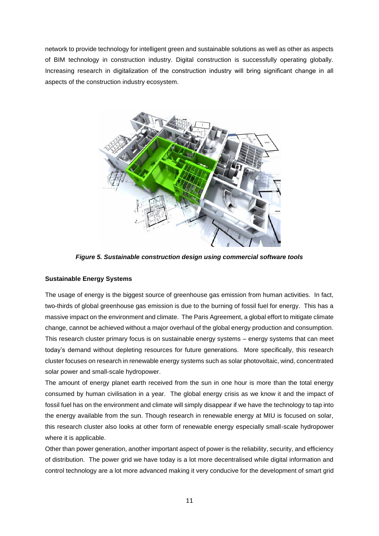network to provide technology for intelligent green and sustainable solutions as well as other as aspects of BIM technology in construction industry. Digital construction is successfully operating globally. Increasing research in digitalization of the construction industry will bring significant change in all aspects of the construction industry ecosystem.



*Figure 5. Sustainable construction design using commercial software tools*

## **Sustainable Energy Systems**

The usage of energy is the biggest source of greenhouse gas emission from human activities. In fact, two-thirds of global greenhouse gas emission is due to the burning of fossil fuel for energy. This has a massive impact on the environment and climate. The Paris Agreement, a global effort to mitigate climate change, cannot be achieved without a major overhaul of the global energy production and consumption. This research cluster primary focus is on sustainable energy systems – energy systems that can meet today's demand without depleting resources for future generations. More specifically, this research cluster focuses on research in renewable energy systems such as solar photovoltaic, wind, concentrated solar power and small-scale hydropower.

The amount of energy planet earth received from the sun in one hour is more than the total energy consumed by human civilisation in a year. The global energy crisis as we know it and the impact of fossil fuel has on the environment and climate will simply disappear if we have the technology to tap into the energy available from the sun. Though research in renewable energy at MIU is focused on solar, this research cluster also looks at other form of renewable energy especially small-scale hydropower where it is applicable.

Other than power generation, another important aspect of power is the reliability, security, and efficiency of distribution. The power grid we have today is a lot more decentralised while digital information and control technology are a lot more advanced making it very conducive for the development of smart grid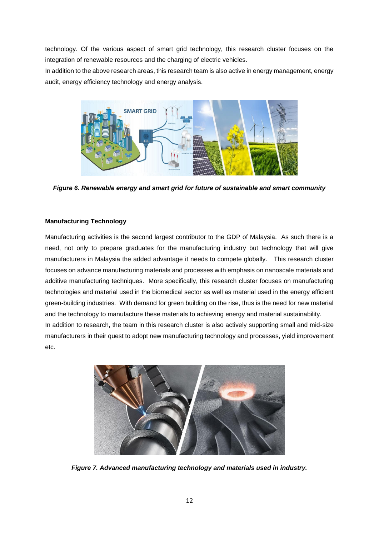technology. Of the various aspect of smart grid technology, this research cluster focuses on the integration of renewable resources and the charging of electric vehicles.

In addition to the above research areas, this research team is also active in energy management, energy audit, energy efficiency technology and energy analysis.



*Figure 6. Renewable energy and smart grid for future of sustainable and smart community*

# **Manufacturing Technology**

Manufacturing activities is the second largest contributor to the GDP of Malaysia. As such there is a need, not only to prepare graduates for the manufacturing industry but technology that will give manufacturers in Malaysia the added advantage it needs to compete globally. This research cluster focuses on advance manufacturing materials and processes with emphasis on nanoscale materials and additive manufacturing techniques. More specifically, this research cluster focuses on manufacturing technologies and material used in the biomedical sector as well as material used in the energy efficient green-building industries. With demand for green building on the rise, thus is the need for new material and the technology to manufacture these materials to achieving energy and material sustainability. In addition to research, the team in this research cluster is also actively supporting small and mid-size manufacturers in their quest to adopt new manufacturing technology and processes, yield improvement etc.



*Figure 7. Advanced manufacturing technology and materials used in industry.*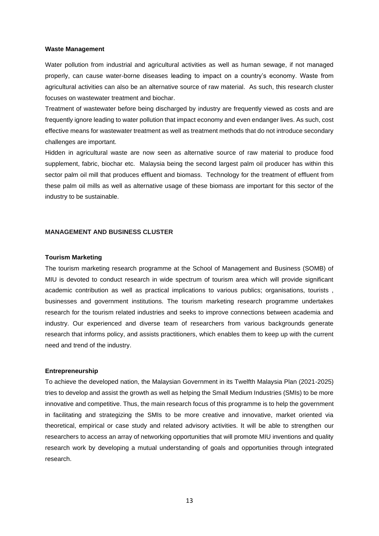#### **Waste Management**

Water pollution from industrial and agricultural activities as well as human sewage, if not managed properly, can cause water-borne diseases leading to impact on a country's economy. Waste from agricultural activities can also be an alternative source of raw material. As such, this research cluster focuses on wastewater treatment and biochar.

Treatment of wastewater before being discharged by industry are frequently viewed as costs and are frequently ignore leading to water pollution that impact economy and even endanger lives. As such, cost effective means for wastewater treatment as well as treatment methods that do not introduce secondary challenges are important.

Hidden in agricultural waste are now seen as alternative source of raw material to produce food supplement, fabric, biochar etc. Malaysia being the second largest palm oil producer has within this sector palm oil mill that produces effluent and biomass. Technology for the treatment of effluent from these palm oil mills as well as alternative usage of these biomass are important for this sector of the industry to be sustainable.

#### **MANAGEMENT AND BUSINESS CLUSTER**

#### **Tourism Marketing**

The tourism marketing research programme at the School of Management and Business (SOMB) of MIU is devoted to conduct research in wide spectrum of tourism area which will provide significant academic contribution as well as practical implications to various publics; organisations, tourists , businesses and government institutions. The tourism marketing research programme undertakes research for the tourism related industries and seeks to improve connections between academia and industry. Our experienced and diverse team of researchers from various backgrounds generate research that informs policy, and assists practitioners, which enables them to keep up with the current need and trend of the industry.

#### **Entrepreneurship**

To achieve the developed nation, the Malaysian Government in its Twelfth Malaysia Plan (2021-2025) tries to develop and assist the growth as well as helping the Small Medium Industries (SMIs) to be more innovative and competitive. Thus, the main research focus of this programme is to help the government in facilitating and strategizing the SMIs to be more creative and innovative, market oriented via theoretical, empirical or case study and related advisory activities. It will be able to strengthen our researchers to access an array of networking opportunities that will promote MIU inventions and quality research work by developing a mutual understanding of goals and opportunities through integrated research.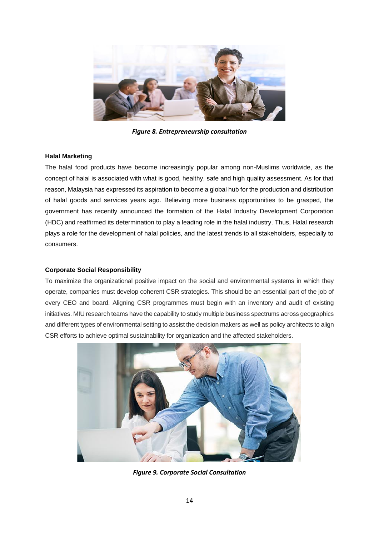

*Figure 8. Entrepreneurship consultation*

## **Halal Marketing**

The halal food products have become increasingly popular among non-Muslims worldwide, as the concept of halal is associated with what is good, healthy, safe and high quality assessment. As for that reason, Malaysia has expressed its aspiration to become a global hub for the production and distribution of halal goods and services years ago. Believing more business opportunities to be grasped, the government has recently announced the formation of the Halal Industry Development Corporation (HDC) and reaffirmed its determination to play a leading role in the halal industry. Thus, Halal research plays a role for the development of halal policies, and the latest trends to all stakeholders, especially to consumers.

## **Corporate Social Responsibility**

To maximize the organizational positive impact on the social and environmental systems in which they operate, companies must develop coherent CSR strategies. This should be an essential part of the job of every CEO and board. Aligning CSR programmes must begin with an inventory and audit of existing initiatives. MIU research teams have the capability to study multiple business spectrums across geographics and different types of environmental setting to assist the decision makers as well as policy architects to align CSR efforts to achieve optimal sustainability for organization and the affected stakeholders.



*Figure 9. Corporate Social Consultation*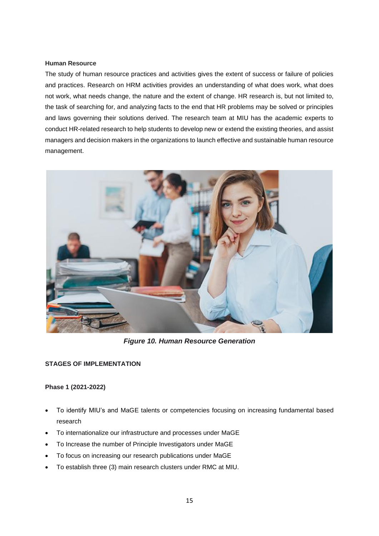## **Human Resource**

The study of human resource practices and activities gives the extent of success or failure of policies and practices. Research on HRM activities provides an understanding of what does work, what does not work, what needs change, the nature and the extent of change. HR research is, but not limited to, the task of searching for, and analyzing facts to the end that HR problems may be solved or principles and laws governing their solutions derived. The research team at MIU has the academic experts to conduct HR-related research to help students to develop new or extend the existing theories, and assist managers and decision makers in the organizations to launch effective and sustainable human resource management.



*Figure 10. Human Resource Generation*

## **STAGES OF IMPLEMENTATION**

## **Phase 1 (2021-2022)**

- To identify MIU's and MaGE talents or competencies focusing on increasing fundamental based research
- To internationalize our infrastructure and processes under MaGE
- To Increase the number of Principle Investigators under MaGE
- To focus on increasing our research publications under MaGE
- To establish three (3) main research clusters under RMC at MIU.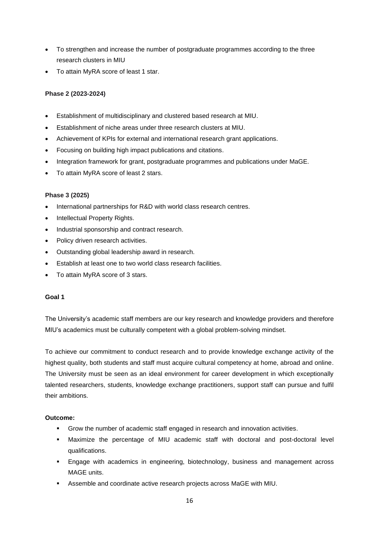- To strengthen and increase the number of postgraduate programmes according to the three research clusters in MIU
- To attain MyRA score of least 1 star.

## **Phase 2 (2023-2024)**

- Establishment of multidisciplinary and clustered based research at MIU.
- Establishment of niche areas under three research clusters at MIU.
- Achievement of KPIs for external and international research grant applications.
- Focusing on building high impact publications and citations.
- Integration framework for grant, postgraduate programmes and publications under MaGE.
- To attain MyRA score of least 2 stars.

## **Phase 3 (2025)**

- International partnerships for R&D with world class research centres.
- Intellectual Property Rights.
- Industrial sponsorship and contract research.
- Policy driven research activities.
- Outstanding global leadership award in research.
- Establish at least one to two world class research facilities.
- To attain MyRA score of 3 stars.

## **Goal 1**

The University's academic staff members are our key research and knowledge providers and therefore MIU's academics must be culturally competent with a global problem-solving mindset.

To achieve our commitment to conduct research and to provide knowledge exchange activity of the highest quality, both students and staff must acquire cultural competency at home, abroad and online. The University must be seen as an ideal environment for career development in which exceptionally talented researchers, students, knowledge exchange practitioners, support staff can pursue and fulfil their ambitions.

## **Outcome:**

- Grow the number of academic staff engaged in research and innovation activities.
- Maximize the percentage of MIU academic staff with doctoral and post-doctoral level qualifications.
- **Engage with academics in engineering, biotechnology, business and management across** MAGE units.
- Assemble and coordinate active research projects across MaGE with MIU.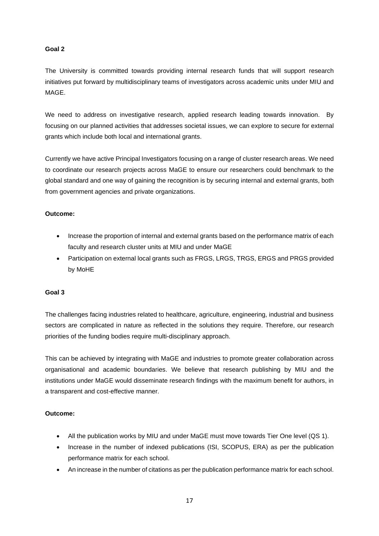## **Goal 2**

The University is committed towards providing internal research funds that will support research initiatives put forward by multidisciplinary teams of investigators across academic units under MIU and MAGE.

We need to address on investigative research, applied research leading towards innovation. By focusing on our planned activities that addresses societal issues, we can explore to secure for external grants which include both local and international grants.

Currently we have active Principal Investigators focusing on a range of cluster research areas. We need to coordinate our research projects across MaGE to ensure our researchers could benchmark to the global standard and one way of gaining the recognition is by securing internal and external grants, both from government agencies and private organizations.

## **Outcome:**

- Increase the proportion of internal and external grants based on the performance matrix of each faculty and research cluster units at MIU and under MaGE
- Participation on external local grants such as FRGS, LRGS, TRGS, ERGS and PRGS provided by MoHE

## **Goal 3**

The challenges facing industries related to healthcare, agriculture, engineering, industrial and business sectors are complicated in nature as reflected in the solutions they require. Therefore, our research priorities of the funding bodies require multi-disciplinary approach.

This can be achieved by integrating with MaGE and industries to promote greater collaboration across organisational and academic boundaries. We believe that research publishing by MIU and the institutions under MaGE would disseminate research findings with the maximum benefit for authors, in a transparent and cost-effective manner.

## **Outcome:**

- All the publication works by MIU and under MaGE must move towards Tier One level (QS 1).
- Increase in the number of indexed publications (ISI, SCOPUS, ERA) as per the publication performance matrix for each school.
- An increase in the number of citations as per the publication performance matrix for each school.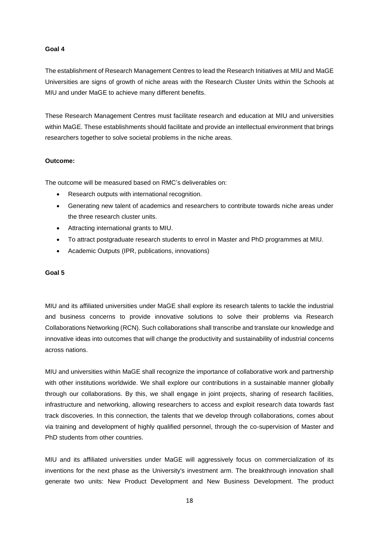## **Goal 4**

The establishment of Research Management Centres to lead the Research Initiatives at MIU and MaGE Universities are signs of growth of niche areas with the Research Cluster Units within the Schools at MIU and under MaGE to achieve many different benefits.

These Research Management Centres must facilitate research and education at MIU and universities within MaGE. These establishments should facilitate and provide an intellectual environment that brings researchers together to solve societal problems in the niche areas.

## **Outcome:**

The outcome will be measured based on RMC's deliverables on:

- Research outputs with international recognition.
- Generating new talent of academics and researchers to contribute towards niche areas under the three research cluster units.
- Attracting international grants to MIU.
- To attract postgraduate research students to enrol in Master and PhD programmes at MIU.
- Academic Outputs (IPR, publications, innovations)

## **Goal 5**

MIU and its affiliated universities under MaGE shall explore its research talents to tackle the industrial and business concerns to provide innovative solutions to solve their problems via Research Collaborations Networking (RCN). Such collaborations shall transcribe and translate our knowledge and innovative ideas into outcomes that will change the productivity and sustainability of industrial concerns across nations.

MIU and universities within MaGE shall recognize the importance of collaborative work and partnership with other institutions worldwide. We shall explore our contributions in a sustainable manner globally through our collaborations. By this, we shall engage in joint projects, sharing of research facilities, infrastructure and networking, allowing researchers to access and exploit research data towards fast track discoveries. In this connection, the talents that we develop through collaborations, comes about via training and development of highly qualified personnel, through the co-supervision of Master and PhD students from other countries.

MIU and its affiliated universities under MaGE will aggressively focus on commercialization of its inventions for the next phase as the University's investment arm. The breakthrough innovation shall generate two units: New Product Development and New Business Development. The product